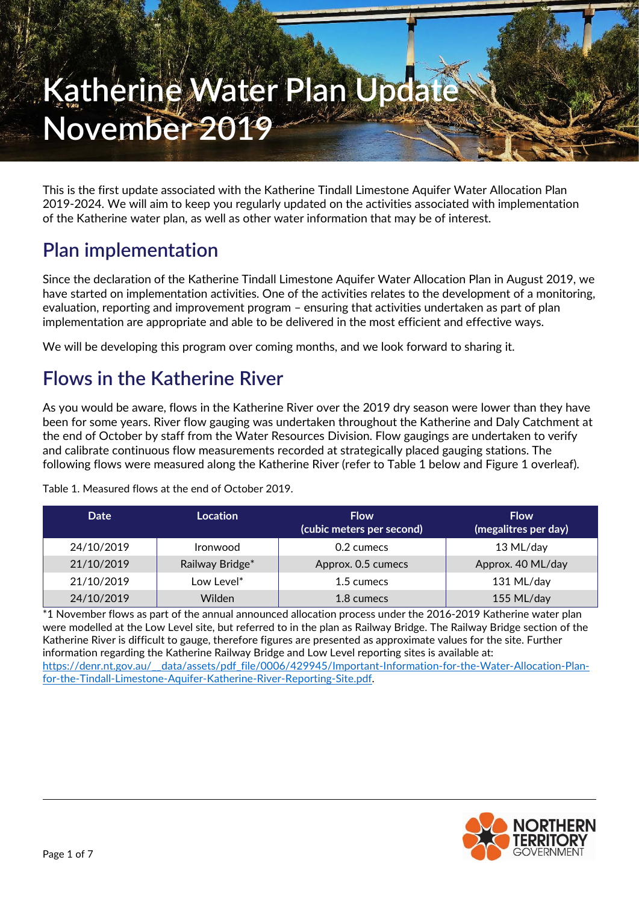# **Katherine Water Plan Update November 2019**

This is the first update associated with the Katherine Tindall Limestone Aquifer Water Allocation Plan 2019-2024. We will aim to keep you regularly updated on the activities associated with implementation of the Katherine water plan, as well as other water information that may be of interest.

## **Plan implementation**

Since the declaration of the Katherine Tindall Limestone Aquifer Water Allocation Plan in August 2019, we have started on implementation activities. One of the activities relates to the development of a monitoring, evaluation, reporting and improvement program – ensuring that activities undertaken as part of plan implementation are appropriate and able to be delivered in the most efficient and effective ways.

We will be developing this program over coming months, and we look forward to sharing it.

## **Flows in the Katherine River**

As you would be aware, flows in the Katherine River over the 2019 dry season were lower than they have been for some years. River flow gauging was undertaken throughout the Katherine and Daly Catchment at the end of October by staff from the Water Resources Division. Flow gaugings are undertaken to verify and calibrate continuous flow measurements recorded at strategically placed gauging stations. The following flows were measured along the Katherine River (refer to [Table 1](#page-0-0) below and [Figure](#page-1-0) 1 overleaf).

| Date       | <b>Location</b> | <b>Flow</b><br>(cubic meters per second) | <b>Flow</b><br>(megalitres per day) |
|------------|-----------------|------------------------------------------|-------------------------------------|
| 24/10/2019 | <b>Ironwood</b> | 0.2 cumecs                               | 13 ML/day                           |
| 21/10/2019 | Railway Bridge* | Approx. 0.5 cumecs                       | Approx. 40 ML/day                   |
| 21/10/2019 | Low Level*      | 1.5 cumecs                               | 131 ML/day                          |
| 24/10/2019 | Wilden          | 1.8 cumecs                               | 155 ML/day                          |

<span id="page-0-0"></span>Table 1. Measured flows at the end of October 2019.

\*1 November flows as part of the annual announced allocation process under the 2016-2019 Katherine water plan were modelled at the Low Level site, but referred to in the plan as Railway Bridge. The Railway Bridge section of the Katherine River is difficult to gauge, therefore figures are presented as approximate values for the site. Further information regarding the Katherine Railway Bridge and Low Level reporting sites is available at: [https://denr.nt.gov.au/\\_\\_data/assets/pdf\\_file/0006/429945/Important-Information-for-the-Water-Allocation-Plan](https://denr.nt.gov.au/__data/assets/pdf_file/0006/429945/Important-Information-for-the-Water-Allocation-Plan-for-the-Tindall-Limestone-Aquifer-Katherine-River-Reporting-Site.pdf)[for-the-Tindall-Limestone-Aquifer-Katherine-River-Reporting-Site.pdf.](https://denr.nt.gov.au/__data/assets/pdf_file/0006/429945/Important-Information-for-the-Water-Allocation-Plan-for-the-Tindall-Limestone-Aquifer-Katherine-River-Reporting-Site.pdf)

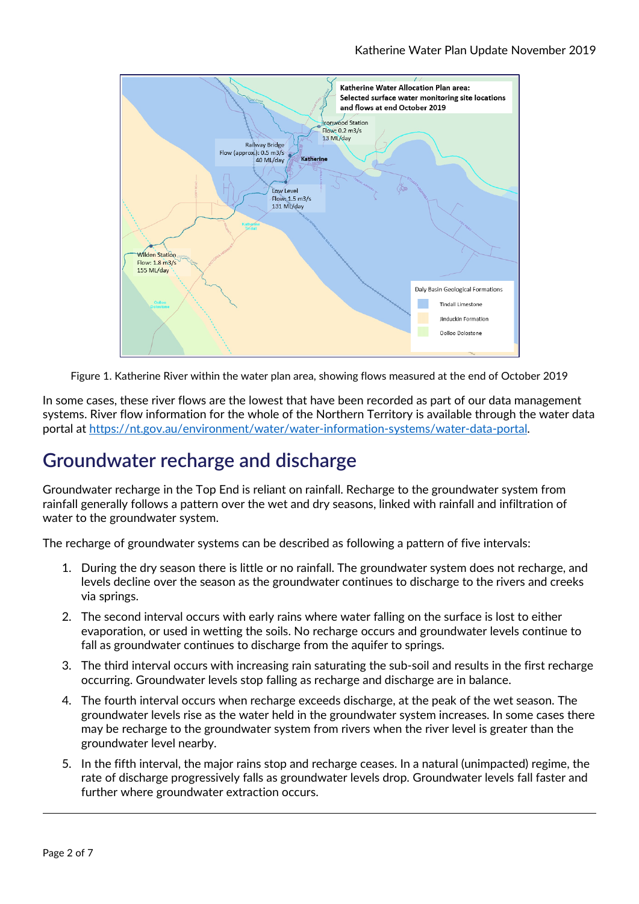

Figure 1. Katherine River within the water plan area, showing flows measured at the end of October 2019

<span id="page-1-0"></span>In some cases, these river flows are the lowest that have been recorded as part of our data management systems. River flow information for the whole of the Northern Territory is available through the water data portal at [https://nt.gov.au/environment/water/water-information-systems/water-data-portal.](https://nt.gov.au/environment/water/water-information-systems/water-data-portal)

## **Groundwater recharge and discharge**

Groundwater recharge in the Top End is reliant on rainfall. Recharge to the groundwater system from rainfall generally follows a pattern over the wet and dry seasons, linked with rainfall and infiltration of water to the groundwater system.

The recharge of groundwater systems can be described as following a pattern of five intervals:

- 1. During the dry season there is little or no rainfall. The groundwater system does not recharge, and levels decline over the season as the groundwater continues to discharge to the rivers and creeks via springs.
- 2. The second interval occurs with early rains where water falling on the surface is lost to either evaporation, or used in wetting the soils. No recharge occurs and groundwater levels continue to fall as groundwater continues to discharge from the aquifer to springs.
- 3. The third interval occurs with increasing rain saturating the sub-soil and results in the first recharge occurring. Groundwater levels stop falling as recharge and discharge are in balance.
- 4. The fourth interval occurs when recharge exceeds discharge, at the peak of the wet season. The groundwater levels rise as the water held in the groundwater system increases. In some cases there may be recharge to the groundwater system from rivers when the river level is greater than the groundwater level nearby.
- 5. In the fifth interval, the major rains stop and recharge ceases. In a natural (unimpacted) regime, the rate of discharge progressively falls as groundwater levels drop. Groundwater levels fall faster and further where groundwater extraction occurs.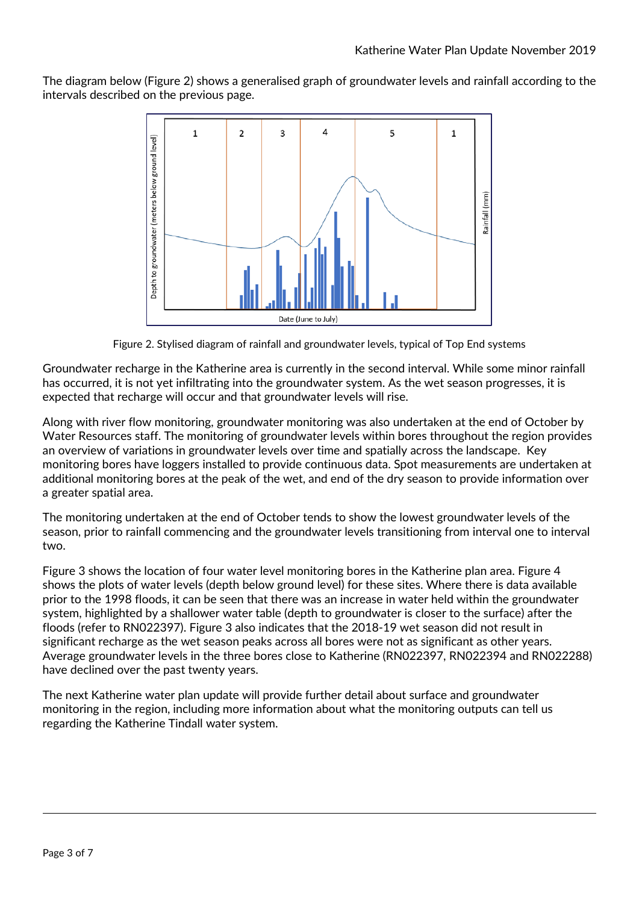The diagram below [\(Figure 2\)](#page-2-0) shows a generalised graph of groundwater levels and rainfall according to the intervals described on the previous page.



Figure 2. Stylised diagram of rainfall and groundwater levels, typical of Top End systems

<span id="page-2-0"></span>Groundwater recharge in the Katherine area is currently in the second interval. While some minor rainfall has occurred, it is not yet infiltrating into the groundwater system. As the wet season progresses, it is expected that recharge will occur and that groundwater levels will rise.

Along with river flow monitoring, groundwater monitoring was also undertaken at the end of October by Water Resources staff. The monitoring of groundwater levels within bores throughout the region provides an overview of variations in groundwater levels over time and spatially across the landscape. Key monitoring bores have loggers installed to provide continuous data. Spot measurements are undertaken at additional monitoring bores at the peak of the wet, and end of the dry season to provide information over a greater spatial area.

The monitoring undertaken at the end of October tends to show the lowest groundwater levels of the season, prior to rainfall commencing and the groundwater levels transitioning from interval one to interval two.

[Figure 3](#page-3-0) shows the location of four water level monitoring bores in the Katherine plan area. [Figure 4](#page-3-0) shows the plots of water levels (depth below ground level) for these sites. Where there is data available prior to the 1998 floods, it can be seen that there was an increase in water held within the groundwater system, highlighted by a shallower water table (depth to groundwater is closer to the surface) after the floods (refer to RN022397). [Figure 3](#page-3-0) also indicates that the 2018-19 wet season did not result in significant recharge as the wet season peaks across all bores were not as significant as other years. Average groundwater levels in the three bores close to Katherine (RN022397, RN022394 and RN022288) have declined over the past twenty years.

The next Katherine water plan update will provide further detail about surface and groundwater monitoring in the region, including more information about what the monitoring outputs can tell us regarding the Katherine Tindall water system.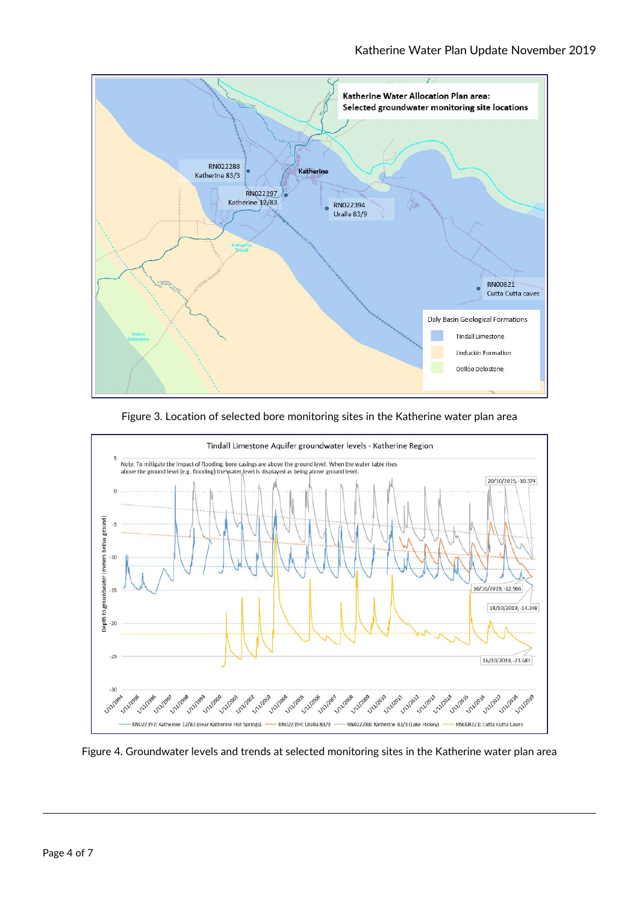

Figure 3. Location of selected bore monitoring sites in the Katherine water plan area



<span id="page-3-0"></span>Figure 4. Groundwater levels and trends at selected monitoring sites in the Katherine water plan area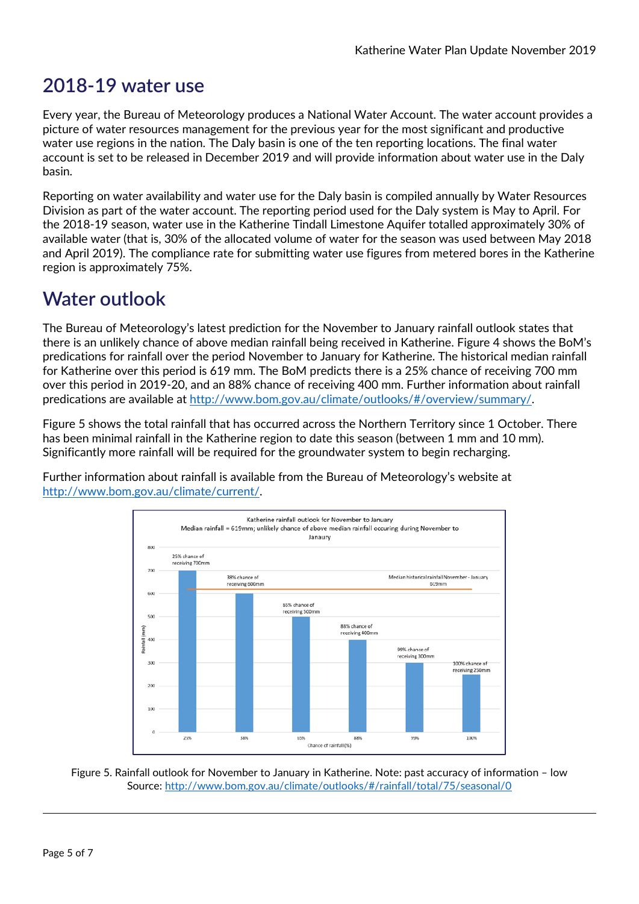### **2018-19 water use**

Every year, the Bureau of Meteorology produces a National Water Account. The water account provides a picture of water resources management for the previous year for the most significant and productive water use regions in the nation. The Daly basin is one of the ten reporting locations. The final water account is set to be released in December 2019 and will provide information about water use in the Daly basin.

Reporting on water availability and water use for the Daly basin is compiled annually by Water Resources Division as part of the water account. The reporting period used for the Daly system is May to April. For the 2018-19 season, water use in the Katherine Tindall Limestone Aquifer totalled approximately 30% of available water (that is, 30% of the allocated volume of water for the season was used between May 2018 and April 2019). The compliance rate for submitting water use figures from metered bores in the Katherine region is approximately 75%.

## **Water outlook**

The Bureau of Meteorology's latest prediction for the November to January rainfall outlook states that there is an unlikely chance of above median rainfall being received in Katherine. [Figure 4](#page-4-0) shows the BoM's predications for rainfall over the period November to January for Katherine. The historical median rainfall for Katherine over this period is 619 mm. The BoM predicts there is a 25% chance of receiving 700 mm over this period in 2019-20, and an 88% chance of receiving 400 mm. Further information about rainfall predications are available a[t http://www.bom.gov.au/climate/outlooks/#/overview/summary/.](http://www.bom.gov.au/climate/outlooks/#/overview/summary/)

[Figure 5](#page-5-0) shows the total rainfall that has occurred across the Northern Territory since 1 October. There has been minimal rainfall in the Katherine region to date this season (between 1 mm and 10 mm). Significantly more rainfall will be required for the groundwater system to begin recharging.

Further information about rainfall is available from the Bureau of Meteorology's website at [http://www.bom.gov.au/climate/current/.](http://www.bom.gov.au/climate/current/)



<span id="page-4-0"></span>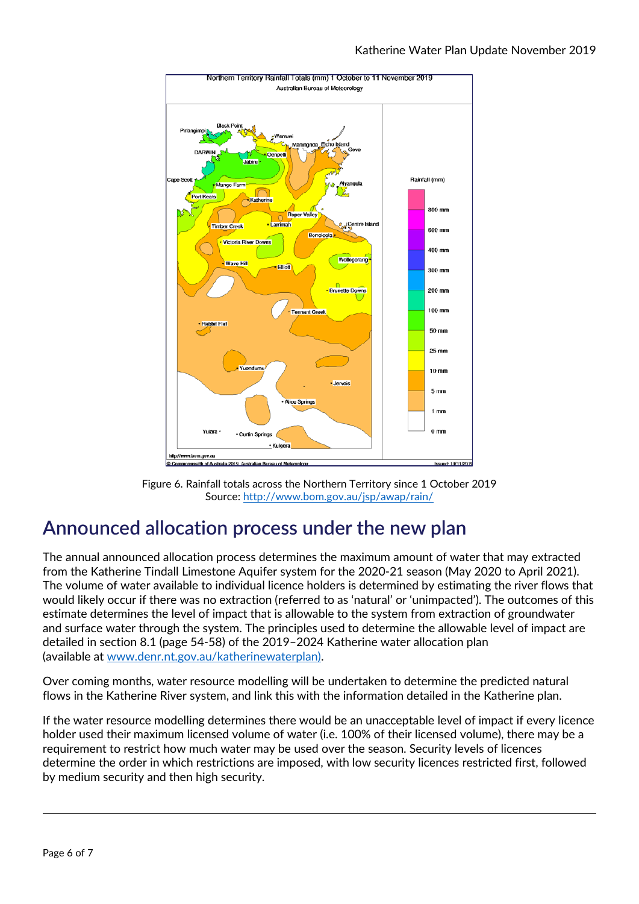

Figure 6. Rainfall totals across the Northern Territory since 1 October 2019 Source:<http://www.bom.gov.au/jsp/awap/rain/>

## <span id="page-5-0"></span>**Announced allocation process under the new plan**

The annual announced allocation process determines the maximum amount of water that may extracted from the Katherine Tindall Limestone Aquifer system for the 2020-21 season (May 2020 to April 2021). The volume of water available to individual licence holders is determined by estimating the river flows that would likely occur if there was no extraction (referred to as 'natural' or 'unimpacted'). The outcomes of this estimate determines the level of impact that is allowable to the system from extraction of groundwater and surface water through the system. The principles used to determine the allowable level of impact are detailed in section 8.1 (page 54-58) of the 2019–2024 Katherine water allocation plan (available at [www.denr.nt.gov.au/katherinewaterplan\)](http://www.denr.nt.gov.au/katherinewaterplan).

Over coming months, water resource modelling will be undertaken to determine the predicted natural flows in the Katherine River system, and link this with the information detailed in the Katherine plan.

If the water resource modelling determines there would be an unacceptable level of impact if every licence holder used their maximum licensed volume of water (i.e. 100% of their licensed volume), there may be a requirement to restrict how much water may be used over the season. Security levels of licences determine the order in which restrictions are imposed, with low security licences restricted first, followed by medium security and then high security.